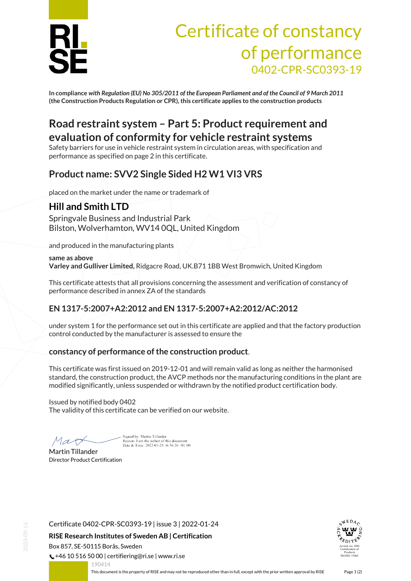

# Certificate of constancy of performance 0402-CPR-SC0393-19

**In compliance** *with Regulation (EU) No 305/2011 of the European Parliament and of the Council of 9 March 2011* **(the Construction Products Regulation or CPR), this certificate applies to the construction products**

## **Road restraint system – Part 5: Product requirement and evaluation of conformity for vehicle restraint systems**

Safety barriers for use in vehicle restraint system in circulation areas, with specification and performance as specified on page 2 in this certificate.

## **Product name: SVV2 Single Sided H2 W1 VI3 VRS**

placed on the market under the name or trademark of

## **Hill and Smith LTD**

Springvale Business and Industrial Park Bilston, Wolverhamton, WV14 0QL, United Kingdom

and produced in the manufacturing plants

**same as above Varley and Gulliver Limited,** Ridgacre Road, UK.B71 1BB West Bromwich, United Kingdom

This certificate attests that all provisions concerning the assessment and verification of constancy of performance described in annex ZA of the standards

## **EN 1317-5:2007+A2:2012 and EN 1317-5:2007+A2:2012/AC:2012**

under system 1 for the performance set out in this certificate are applied and that the factory production control conducted by the manufacturer is assessed to ensure the

#### **constancy of performance of the construction product**.

This certificate was first issued on 2019-12-01 and will remain valid as long as neither the harmonised standard, the construction product, the AVCP methods nor the manufacturing conditions in the plant are modified significantly, unless suspended or withdrawn by the notified product certification body.

Issued by notified body 0402 The validity of this certificate can be verified on our website.

Mar

Sioned by: Martin Tillander Reason: I am the author of this document<br>Date & Time: 2022-01-24 16:56:26 +01:00

Martin Tillander Director Product Certification

Certificate 0402-CPR-SC0393-19 | issue 3 | 2022-01-24

**RISE Research Institutes of Sweden AB | Certification**

Box 857, SE-50115 Borås, Sweden

 $\binom{1}{2}$  +46 10 516 50 00 | certifiering@ri.se | www.ri.se



<span id="page-0-0"></span>